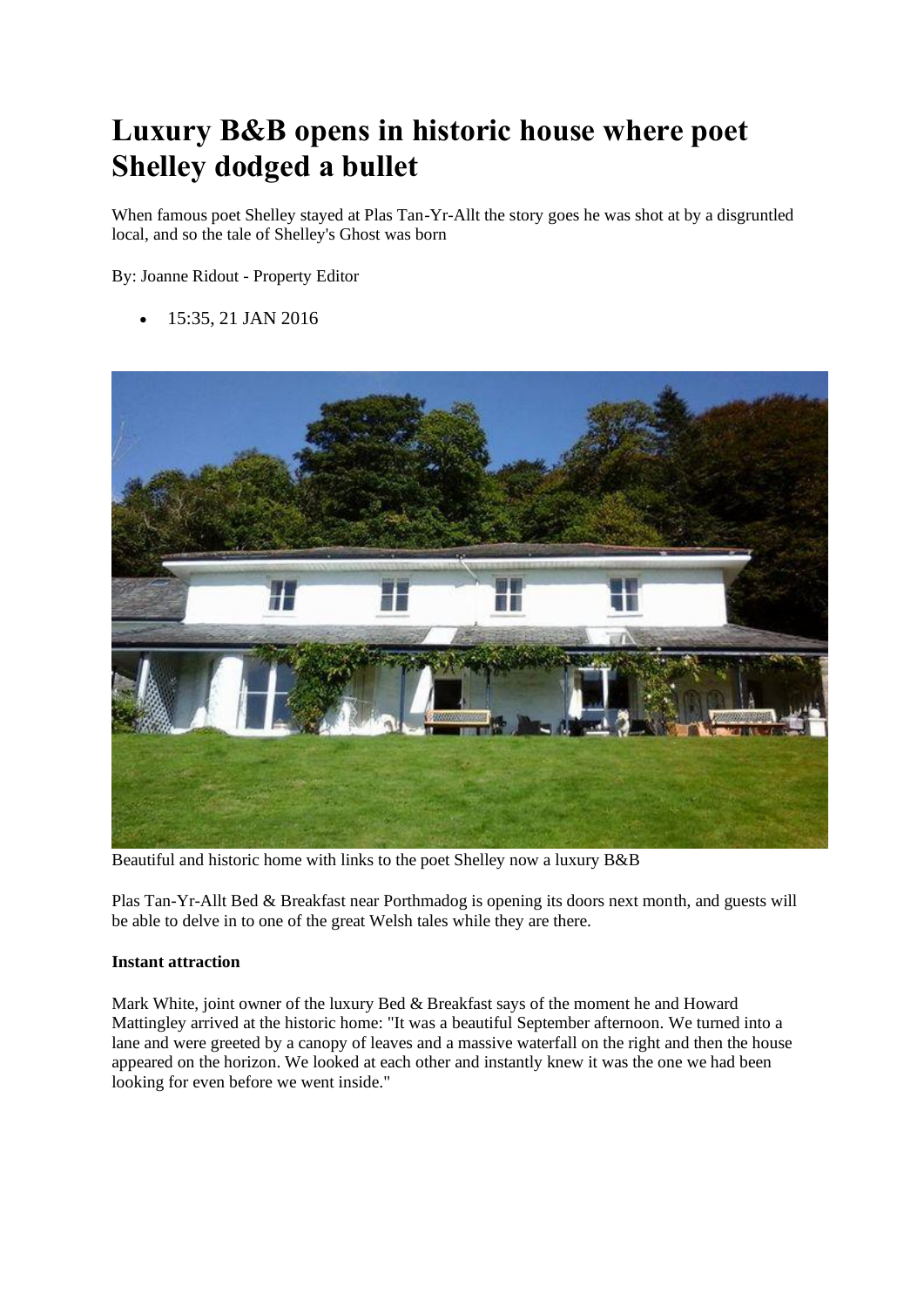# **Luxury B&B opens in historic house where poet Shelley dodged a bullet**

When famous poet Shelley stayed at Plas Tan-Yr-Allt the story goes he was shot at by a disgruntled local, and so the tale of Shelley's Ghost was born

By: Joanne Ridout - Property Editor

• 15:35, 21 JAN 2016



Beautiful and historic home with links to the poet Shelley now a luxury B&B

Plas Tan-Yr-Allt Bed & Breakfast near Porthmadog is opening its doors next month, and guests will be able to delve in to one of the great Welsh tales while they are there.

#### **Instant attraction**

Mark White, joint owner of the luxury Bed & Breakfast says of the moment he and Howard Mattingley arrived at the historic home: "It was a beautiful September afternoon. We turned into a lane and were greeted by a canopy of leaves and a massive waterfall on the right and then the house appeared on the horizon. We looked at each other and instantly knew it was the one we had been looking for even before we went inside."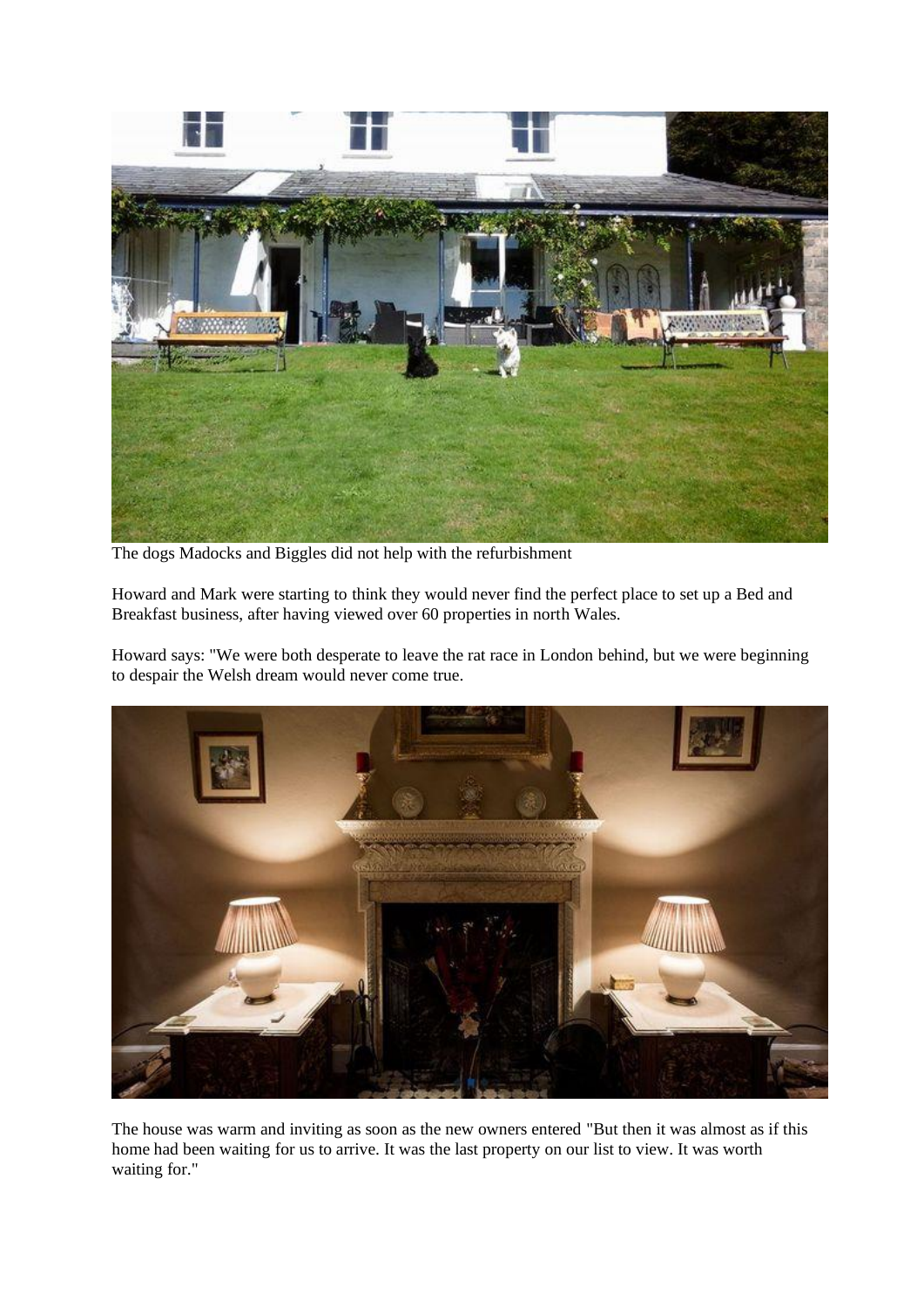

The dogs Madocks and Biggles did not help with the refurbishment

Howard and Mark were starting to think they would never find the perfect place to set up a Bed and Breakfast business, after having viewed over 60 properties in north Wales.

Howard says: "We were both desperate to leave the rat race in London behind, but we were beginning to despair the Welsh dream would never come true.



The house was warm and inviting as soon as the new owners entered "But then it was almost as if this home had been waiting for us to arrive. It was the last property on our list to view. It was worth waiting for."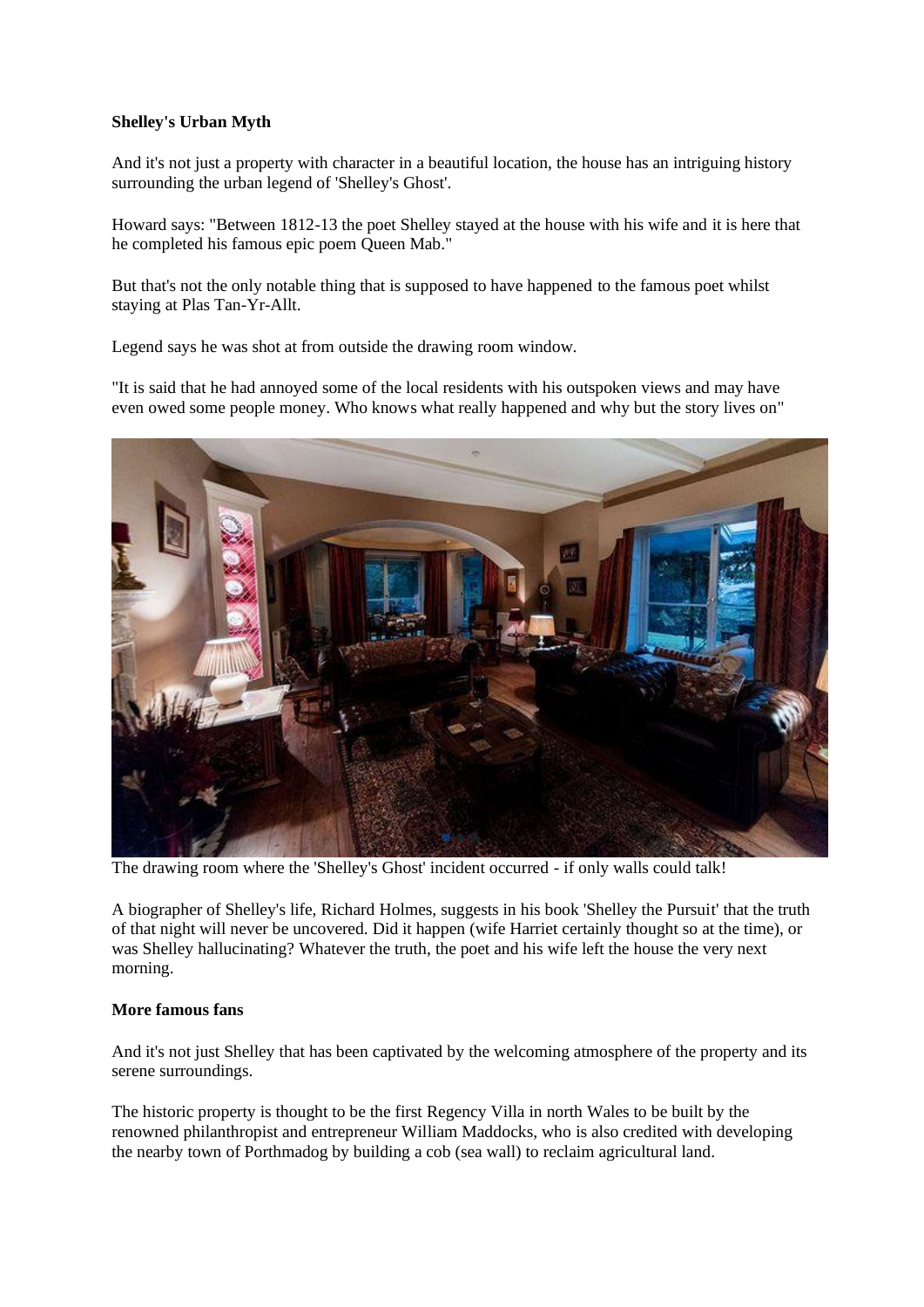### **Shelley's Urban Myth**

And it's not just a property with character in a beautiful location, the house has an intriguing history surrounding the urban legend of 'Shelley's Ghost'.

Howard says: "Between 1812-13 the poet Shelley stayed at the house with his wife and it is here that he completed his famous epic poem Queen Mab."

But that's not the only notable thing that is supposed to have happened to the famous poet whilst staying at Plas Tan-Yr-Allt.

Legend says he was shot at from outside the drawing room window.

"It is said that he had annoyed some of the local residents with his outspoken views and may have even owed some people money. Who knows what really happened and why but the story lives on"



The drawing room where the 'Shelley's Ghost' incident occurred - if only walls could talk!

A biographer of Shelley's life, Richard Holmes, suggests in his book 'Shelley the Pursuit' that the truth of that night will never be uncovered. Did it happen (wife Harriet certainly thought so at the time), or was Shelley hallucinating? Whatever the truth, the poet and his wife left the house the very next morning.

### **More famous fans**

And it's not just Shelley that has been captivated by the welcoming atmosphere of the property and its serene surroundings.

The historic property is thought to be the first Regency Villa in north Wales to be built by the renowned philanthropist and entrepreneur William Maddocks, who is also credited with developing the nearby town of Porthmadog by building a cob (sea wall) to reclaim agricultural land.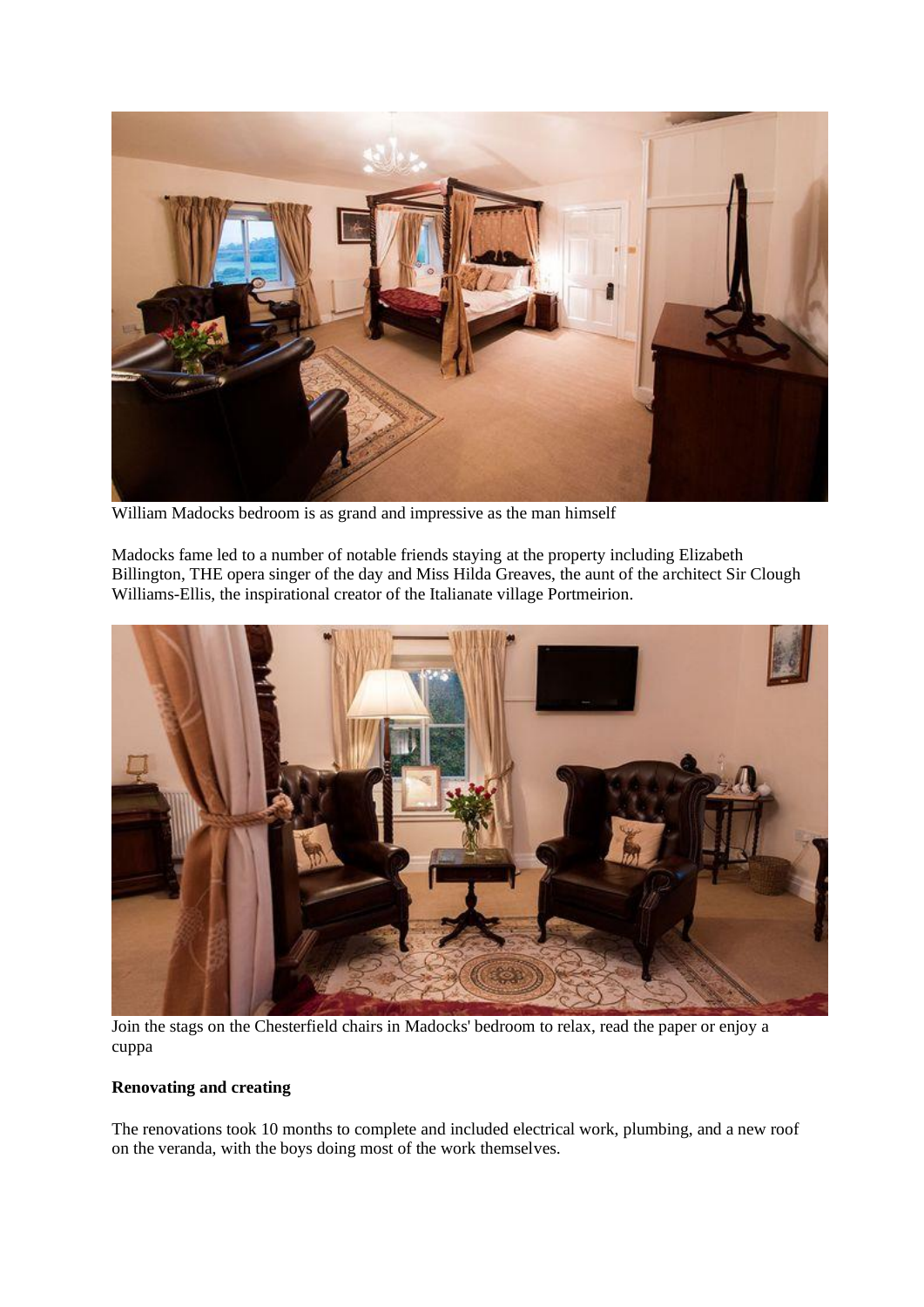

William Madocks bedroom is as grand and impressive as the man himself

Madocks fame led to a number of notable friends staying at the property including Elizabeth Billington, THE opera singer of the day and Miss Hilda Greaves, the aunt of the architect Sir Clough Williams-Ellis, the inspirational creator of the Italianate village Portmeirion.



Join the stags on the Chesterfield chairs in Madocks' bedroom to relax, read the paper or enjoy a cuppa

## **Renovating and creating**

The renovations took 10 months to complete and included electrical work, plumbing, and a new roof on the veranda, with the boys doing most of the work themselves.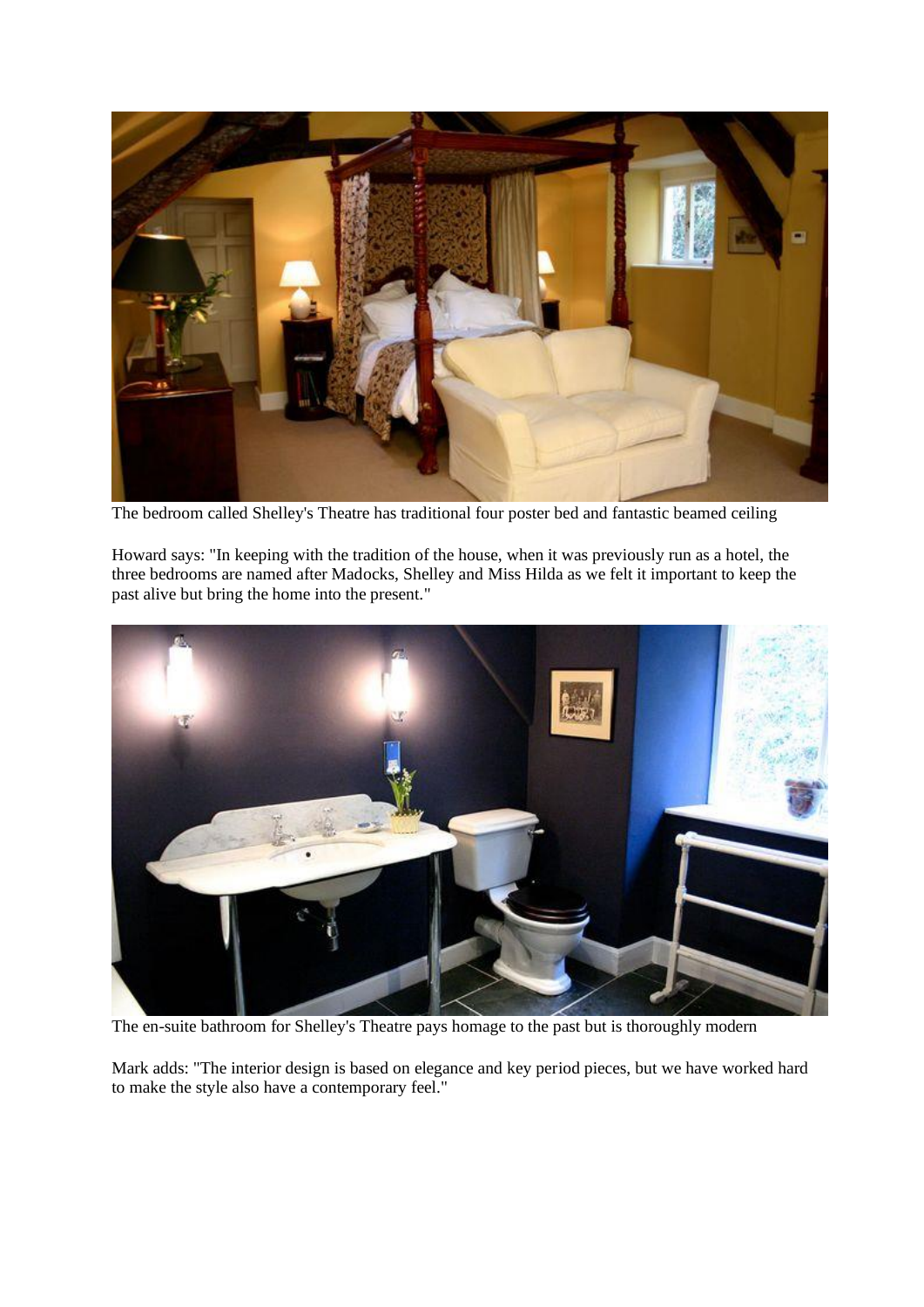

The bedroom called Shelley's Theatre has traditional four poster bed and fantastic beamed ceiling

Howard says: "In keeping with the tradition of the house, when it was previously run as a hotel, the three bedrooms are named after Madocks, Shelley and Miss Hilda as we felt it important to keep the past alive but bring the home into the present."



The en-suite bathroom for Shelley's Theatre pays homage to the past but is thoroughly modern

Mark adds: "The interior design is based on elegance and key period pieces, but we have worked hard to make the style also have a contemporary feel."